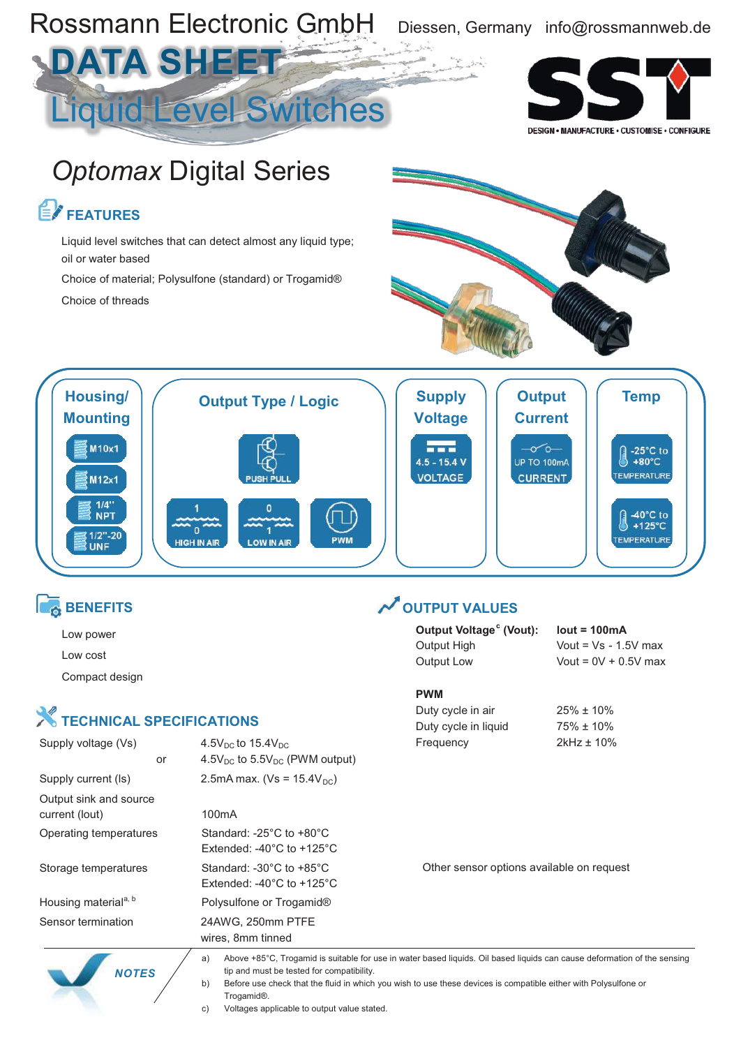

#### **BENEFITS**

- Low power
- Low cost

Compact design

## **X** TECHNICAL SPECIFICATIONS

 *NOTES*

| Supply voltage (Vs)                      | $4.5V_{DC}$ to $15.4V_{DC}$                                                                   | Frequency   |
|------------------------------------------|-----------------------------------------------------------------------------------------------|-------------|
| or                                       | $4.5V_{DC}$ to $5.5V_{DC}$ (PWM output)                                                       |             |
| Supply current (Is)                      | 2.5mA max. ( $Vs = 15.4V_{DC}$ )                                                              |             |
| Output sink and source<br>current (lout) | 100mA                                                                                         |             |
| Operating temperatures                   | Standard: $-25^{\circ}$ C to $+80^{\circ}$ C<br>Extended: $-40^{\circ}$ C to $+125^{\circ}$ C |             |
| Storage temperatures                     | Standard: $-30^{\circ}$ C to $+85^{\circ}$ C<br>Extended: $-40^{\circ}$ C to $+125^{\circ}$ C | Other senso |
| Housing material <sup>a, b</sup>         | Polysulfone or Trogamid <sup>®</sup>                                                          |             |
| Sensor termination                       | 24AWG, 250mm PTFE<br>wires, 8mm tinned                                                        |             |
|                                          |                                                                                               |             |

### **OUTPUT VALUES**

| Output Voltage <sup>c</sup> (Vout): | $lout = 100mA$         |
|-------------------------------------|------------------------|
| Output High                         | Vout = $Vs - 1.5V$ max |
| Output Low                          | Vout = $0V + 0.5V$ max |

**PWM**

Duty cycle in air <br>25% ± 10% Duty cycle in liquid 75% ± 10%

 $2kHz \pm 10%$ 

or options available on request

a) Above +85°C, Trogamid is suitable for use in water based liquids. Oil based liquids can cause deformation of the sensing tip and must be tested for compatibility.

b) Before use check that the fluid in which you wish to use these devices is compatible either with Polysulfone or Trogamid®.

c) Voltages applicable to output value stated.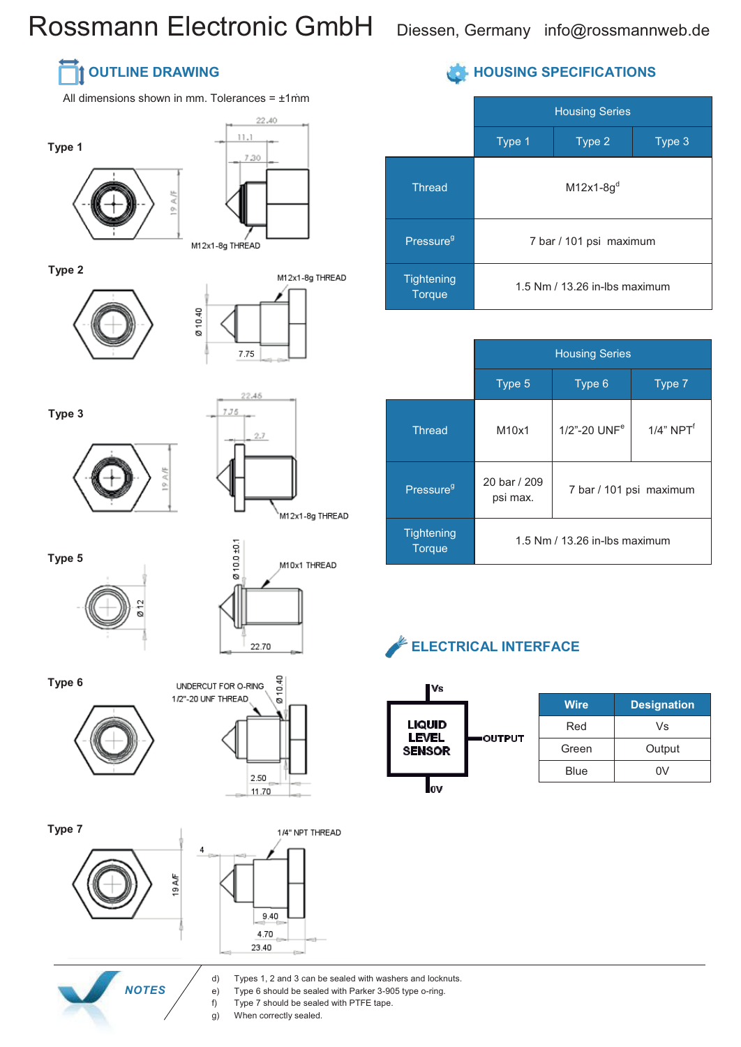# Rossmann Electronic GmbH Diessen, Germany info@rossmannweb.de

### **OUTLINE DRAWING**

All dimensions shown in mm. Tolerances = ±1mm

Ø10.40





22.40

**Type 2**





**Type 3**





**Type 5**





**Type 6**





**Type 7**



 *NOTES*



#### d) Types 1, 2 and 3 can be sealed with washers and locknuts.

- e) Type 6 should be sealed with Parker 3-905 type o-ring.
- f) Type 7 should be sealed with PTFE tape.
- g) When correctly sealed.

#### **HOUSING SPECIFICATIONS**

|                             | <b>Housing Series</b>           |        |        |
|-----------------------------|---------------------------------|--------|--------|
|                             | Type 1                          | Type 2 | Type 3 |
| <b>Thread</b>               | $M12x1-8gd$                     |        |        |
| Pressure <sup>g</sup>       | 7 bar / 101 psi maximum         |        |        |
| Tightening<br><b>Torque</b> | 1.5 Nm $/$ 13.26 in-lbs maximum |        |        |

|                                    | <b>Housing Series</b>             |                             |                 |
|------------------------------------|-----------------------------------|-----------------------------|-----------------|
|                                    | Type 5                            | Type 6                      | Type 7          |
| <b>Thread</b>                      | M10x1                             | $1/2$ "-20 UNF <sup>e</sup> | $1/4$ " NPT $f$ |
| Pressure <sup>9</sup>              | 20 bar / 209<br>psi max.          | 7 bar / 101 psi maximum     |                 |
| <b>Tightening</b><br><b>Torque</b> | $1.5$ Nm $/$ 13.26 in-lbs maximum |                             |                 |





| <b>Wire</b> | <b>Designation</b> |
|-------------|--------------------|
| Red         | Vs                 |
| Green       | Output             |
| Blue        | n۷                 |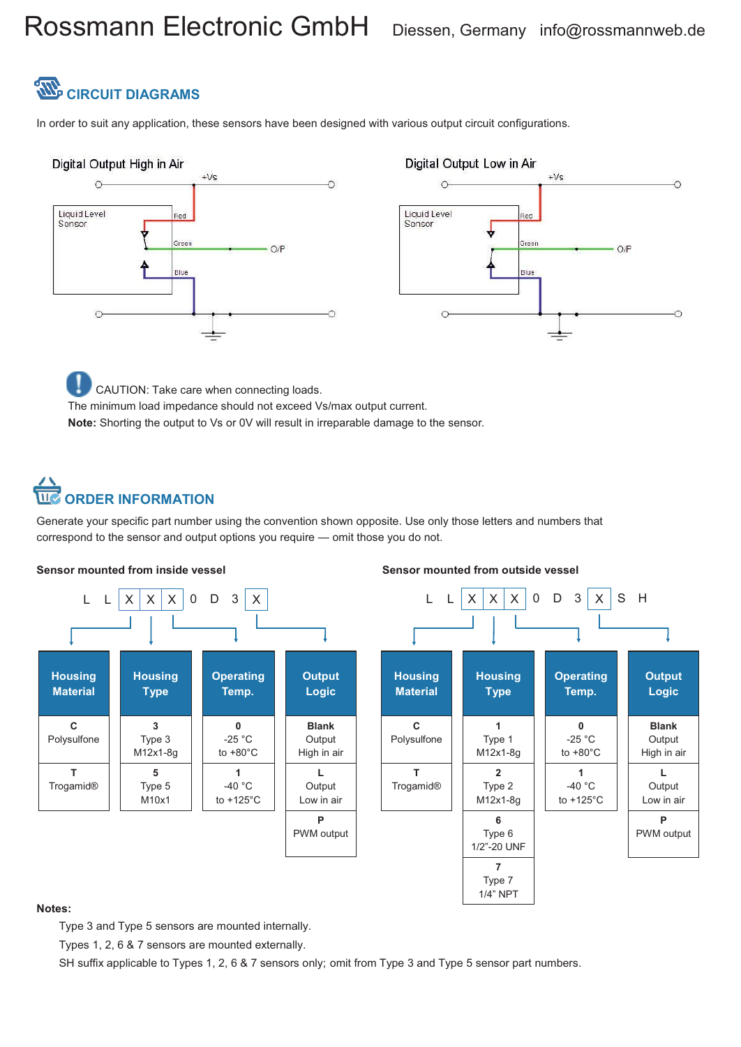# Rossmann Electronic GmbH Diessen, Germany info@rossmannweb.de



In order to suit any application, these sensors have been designed with various output circuit configurations.



CAUTION: Take care when connecting loads. The minimum load impedance should not exceed Vs/max output current. **Note:** Shorting the output to Vs or 0V will result in irreparable damage to the sensor.

# **ORDER INFORMATION**

Generate your specific part number using the convention shown opposite. Use only those letters and numbers that correspond to the sensor and output options you require — omit those you do not.



#### **Notes:**

Type 3 and Type 5 sensors are mounted internally.

Types 1, 2, 6 & 7 sensors are mounted externally.

SH suffix applicable to Types 1, 2, 6 & 7 sensors only; omit from Type 3 and Type 5 sensor part numbers.